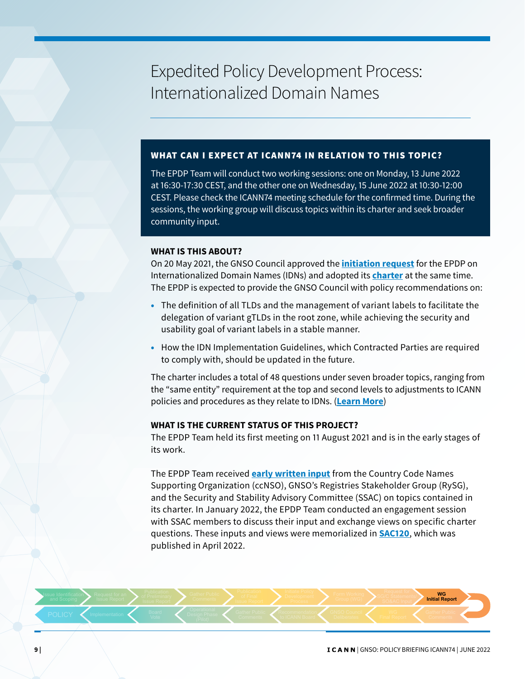# Expedited Policy Development Process: Internationalized Domain Names

# WHAT CAN I EXPECT AT ICANN74 IN RELATION TO THIS TOPIC?

The EPDP Team will conduct two working sessions: one on Monday, 13 June 2022 at 16:30-17:30 CEST, and the other one on Wednesday, 15 June 2022 at 10:30-12:00 CEST. Please check the ICANN74 meeting schedule for the confirmed time. During the sessions, the working group will discuss topics within its charter and seek broader community input.

## **WHAT IS THIS ABOUT?**

On 20 May 2021, the GNSO Council approved the **[initiation request](https://gnso.icann.org/sites/default/files/policy/2021/presentation/EPDPInitiationRequest20May21.pdf)** for the EPDP on Internationalized Domain Names (IDNs) and adopted its **[charter](https://gnso.icann.org/sites/default/files/policy/2021/presentation/CharterGNSOIDNsEPDPWorkingGroup20May21.pdf)** at the same time. The EPDP is expected to provide the GNSO Council with policy recommendations on:

- The definition of all TLDs and the management of variant labels to facilitate the delegation of variant gTLDs in the root zone, while achieving the security and usability goal of variant labels in a stable manner.
- How the IDN Implementation Guidelines, which Contracted Parties are required to comply with, should be updated in the future.

The charter includes a total of 48 questions under seven broader topics, ranging from the "same entity" requirement at the top and second levels to adjustments to ICANN policies and procedures as they relate to IDNs. (**[Learn More](https://gnso.icann.org/en/group-activities/active/idn-epdp)**)

## **WHAT IS THE CURRENT STATUS OF THIS PROJECT?**

The EPDP Team held its first meeting on 11 August 2021 and is in the early stages of its work.

The EPDP Team received **[early written input](https://community.icann.org/display/epdpidn/Community+Input)** from the Country Code Names Supporting Organization (ccNSO), GNSO's Registries Stakeholder Group (RySG), and the Security and Stability Advisory Committee (SSAC) on topics contained in its charter. In January 2022, the EPDP Team conducted an engagement session with SSAC members to discuss their input and exchange views on specific charter questions. These inputs and views were memorialized in **[SAC120](https://www.icann.org/en/system/files/files/sac-120-en.pdf)**, which was published in April 2022.

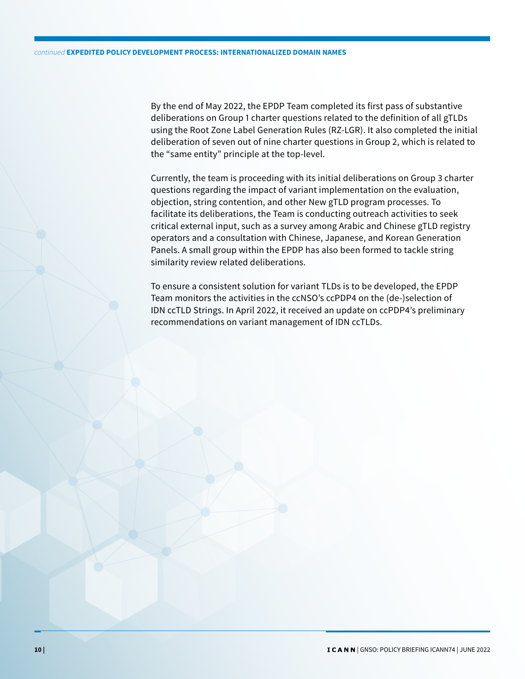By the end of May 2022, the EPDP Team completed its first pass of substantive deliberations on Group 1 charter questions related to the definition of all gTLDs using the Root Zone Label Generation Rules (RZ-LGR). It also completed the initial deliberation of seven out of nine charter questions in Group 2, which is related to the "same entity" principle at the top-level.

Currently, the team is proceeding with its initial deliberations on Group 3 charter questions regarding the impact of variant implementation on the evaluation, objection, string contention, and other New gTLD program processes. To facilitate its deliberations, the Team is conducting outreach activities to seek critical external input, such as a survey among Arabic and Chinese gTLD registry operators and a consultation with Chinese, Japanese, and Korean Generation Panels. A small group within the EPDP has also been formed to tackle string similarity review related deliberations.

To ensure a consistent solution for variant TLDs is to be developed, the EPDP Team monitors the activities in the ccNSO's ccPDP4 on the (de-)selection of IDN ccTLD Strings. In April 2022, it received an update on ccPDP4's preliminary recommendations on variant management of IDN ccTLDs.